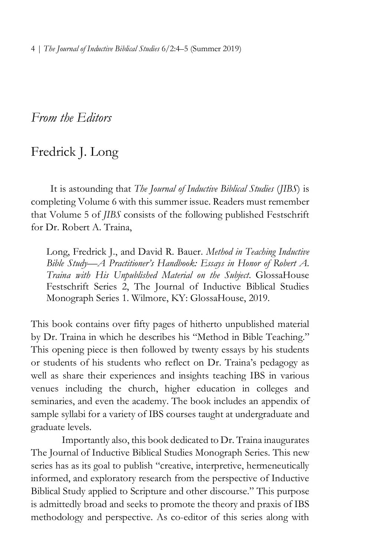4 | *The Journal of Inductive Biblical Studies* 6/2:4–5 (Summer 2019)

*From the Editors*

## Fredrick J. Long

It is astounding that *The Journal of Inductive Biblical Studies* (*JIBS*) is completing Volume 6 with this summer issue. Readers must remember that Volume 5 of *JIBS* consists of the following published Festschrift for Dr. Robert A. Traina,

Long, Fredrick J., and David R. Bauer. *Method in Teaching Inductive Bible Study—A Practitioner's Handbook: Essays in Honor of Robert A. Traina with His Unpublished Material on the Subject*. GlossaHouse Festschrift Series 2, The Journal of Inductive Biblical Studies Monograph Series 1. Wilmore, KY: GlossaHouse, 2019.

This book contains over fifty pages of hitherto unpublished material by Dr. Traina in which he describes his "Method in Bible Teaching." This opening piece is then followed by twenty essays by his students or students of his students who reflect on Dr. Traina's pedagogy as well as share their experiences and insights teaching IBS in various venues including the church, higher education in colleges and seminaries, and even the academy. The book includes an appendix of sample syllabi for a variety of IBS courses taught at undergraduate and graduate levels.

Importantly also, this book dedicated to Dr. Traina inaugurates The Journal of Inductive Biblical Studies Monograph Series. This new series has as its goal to publish "creative, interpretive, hermeneutically informed, and exploratory research from the perspective of Inductive Biblical Study applied to Scripture and other discourse." This purpose is admittedly broad and seeks to promote the theory and praxis of IBS methodology and perspective. As co-editor of this series along with